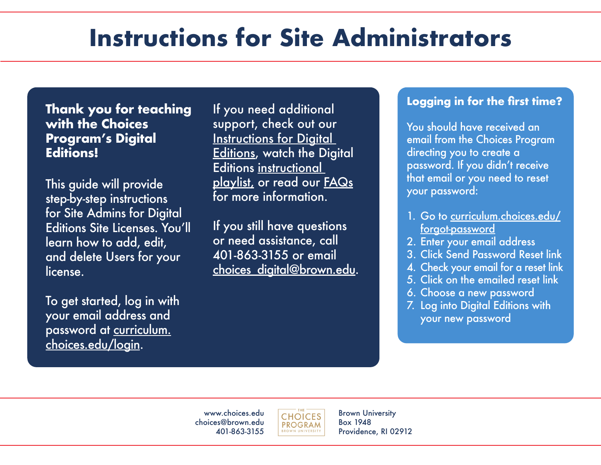## **Instructions for Site Administrators**

**Thank you for teaching with the Choices Program's Digital Editions!** 

This guide will provide step-by-step instructions for Site Admins for Digital Editions Site Licenses. You'll learn how to add, edit, and delete Users for your license.

To get started, log in with your email address and password at [curriculum.](curriculum.choices.edu/login) [choices.edu/login.](curriculum.choices.edu/login)

If you need additional support, check out our [Instructions for Digital](https://www.choices.edu/wp-content/uploads/2022/05/Instructions-for-Digital-Editions.pdf)  [Editions, w](https://www.choices.edu/wp-content/uploads/2022/05/Instructions-for-Digital-Editions.pdf)atch the Digital Editions [instructional](https://www.youtube.com/playlist?list=PL79pes3tibC6poW_TOskPggAz__1zHihZ)  [playlist,](https://www.youtube.com/playlist?list=PL79pes3tibC6poW_TOskPggAz__1zHihZ) or read our **FAQs** for more information.

If you still have questions or need assistance, call 401-863-3155 or email choices\_digital@brown.edu.

## **Logging in for the first time?**

You should have received an email from the Choices Program directing you to create a password. If you didn't receive that email or you need to reset your password:

- 1. [Go to curriculum.choices.edu/](curriculum.choices.edu/login) forgot-password
- 2. Enter your email address
- 3. Click Send Password Reset link
- 4. Check your email for a reset link
- 5. Click on the emailed reset link
- 6. Choose a new password
- 7. Log into Digital Editions with your new password

www.choices.edu choices@brown.edu 401-863-3155



Brown University Box 1948 Providence, RI 02912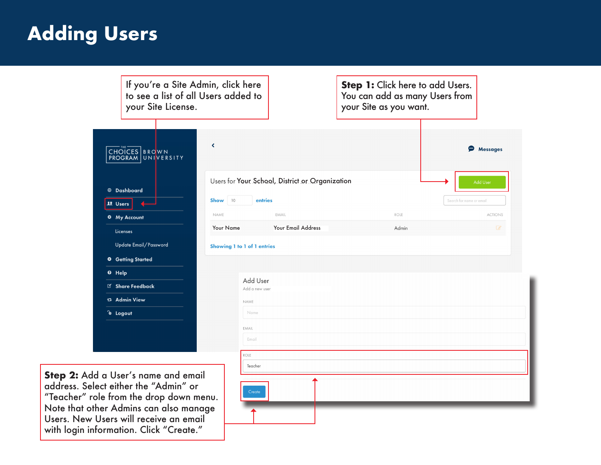## **Adding Users**

| If you're a Site Admin, click here<br>to see a list of all Users added to<br>your Site License.                                                                                                                                                        |                                                                         | Step 1: Click here to add Users.<br>You can add as many Users from<br>your Site as you want. |                               |
|--------------------------------------------------------------------------------------------------------------------------------------------------------------------------------------------------------------------------------------------------------|-------------------------------------------------------------------------|----------------------------------------------------------------------------------------------|-------------------------------|
| CHOICES   BROWN<br>PROGRAM UNIVERSITY<br><b>@</b> Dashboard                                                                                                                                                                                            | $\blacktriangleleft$<br>Users for Your School, District or Organization |                                                                                              | <b>P</b> Messages<br>Add User |
| <b>11</b> Users                                                                                                                                                                                                                                        | Show 10<br>entries                                                      |                                                                                              | Search for name or email      |
| <b>☆</b> My Account                                                                                                                                                                                                                                    | NAME<br>EMAIL                                                           | ROLE                                                                                         | <b>ACTIONS</b>                |
| Licenses                                                                                                                                                                                                                                               | <b>Your Name</b><br><b>Your Email Address</b>                           | Admin                                                                                        | $\overline{d}$                |
| Update Email/Password                                                                                                                                                                                                                                  | Showing 1 to 1 of 1 entries                                             |                                                                                              |                               |
| <b>O</b> Getting Started                                                                                                                                                                                                                               |                                                                         |                                                                                              |                               |
| <sup>O</sup> Help                                                                                                                                                                                                                                      |                                                                         |                                                                                              |                               |
| I Share Feedback                                                                                                                                                                                                                                       | Add User<br>Add a new user                                              |                                                                                              |                               |
| <b>☆ Admin View</b>                                                                                                                                                                                                                                    | NAME                                                                    |                                                                                              |                               |
| <b>&amp;</b> Logout                                                                                                                                                                                                                                    | Name                                                                    |                                                                                              |                               |
|                                                                                                                                                                                                                                                        | EMAIL                                                                   |                                                                                              |                               |
|                                                                                                                                                                                                                                                        | Email                                                                   |                                                                                              |                               |
|                                                                                                                                                                                                                                                        | ROLE                                                                    |                                                                                              |                               |
| Step 2: Add a User's name and email<br>address. Select either the "Admin" or<br>"Teacher" role from the drop down menu.<br>Note that other Admins can also manage<br>Users. New Users will receive an email<br>with login information. Click "Create." | Teacher<br>Create                                                       |                                                                                              |                               |